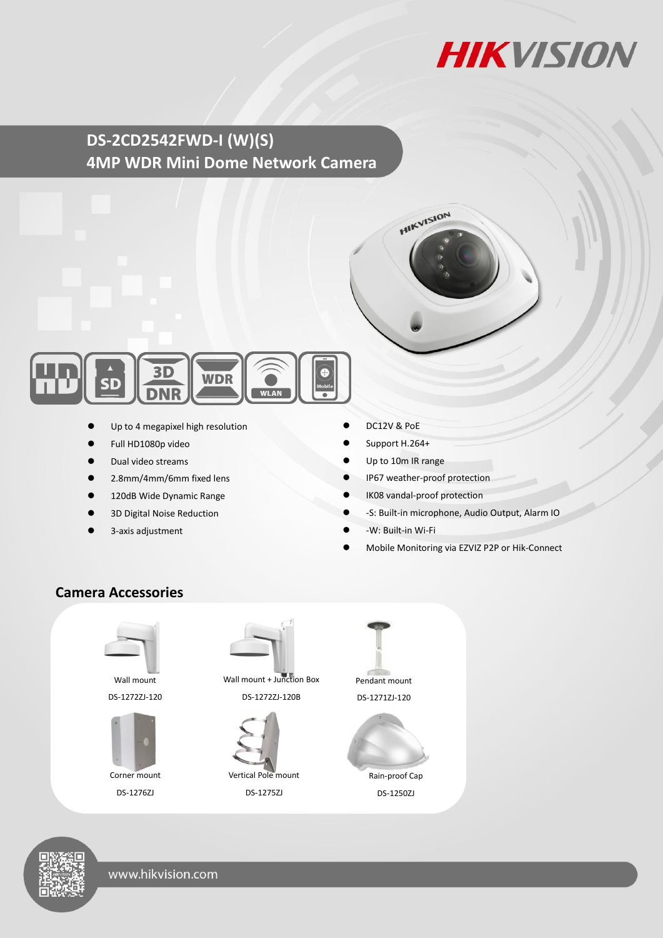

# **DS-2CD2542FWD-I (W)(S) 4MP WDR Mini Dome Network Camera**



- Up to 4 megapixel high resolution
- Full HD1080p video
- Dual video streams
- 2.8mm/4mm/6mm fixed lens
- 120dB Wide Dynamic Range
- 3D Digital Noise Reduction
- 3-axis adjustment
- DC12V & PoE
- Support H.264+
- Up to 10m IR range
- IP67 weather-proof protection

**HIKVISION** 

- IK08 vandal-proof protection
- -S: Built-in microphone, Audio Output, Alarm IO
- -W: Built-in Wi-Fi
- Mobile Monitoring via EZVIZ P2P or Hik-Connect

## **Camera Accessories**



Wall mount DS-1272ZJ-120



DS-1276ZJ



Wall mount + Junction Box DS-1272ZJ-120B



DS-1275ZJ



Rain-proof Cap DS-1250ZJ



www.hikvision.com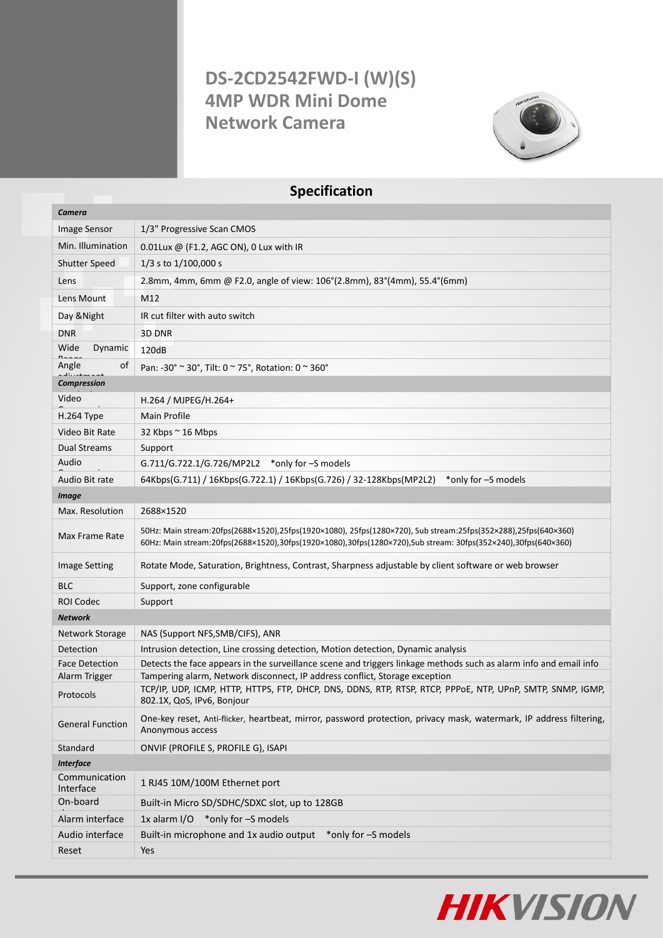# **DS-2CD2542FWD-I (W)(S) 4MP WDR Mini Dome Network Camera**



## **Specification**

| Camera                     |                                                                                                                                                                                                                                |  |
|----------------------------|--------------------------------------------------------------------------------------------------------------------------------------------------------------------------------------------------------------------------------|--|
| <b>Image Sensor</b>        | 1/3" Progressive Scan CMOS                                                                                                                                                                                                     |  |
| Min. Illumination          | 0.01Lux @ (F1.2, AGC ON), 0 Lux with IR                                                                                                                                                                                        |  |
| <b>Shutter Speed</b>       | $1/3$ s to $1/100,000$ s                                                                                                                                                                                                       |  |
| Lens                       | 2.8mm, 4mm, 6mm @ F2.0, angle of view: 106°(2.8mm), 83°(4mm), 55.4°(6mm)                                                                                                                                                       |  |
| Lens Mount                 | M12                                                                                                                                                                                                                            |  |
| Day & Night                | IR cut filter with auto switch                                                                                                                                                                                                 |  |
| <b>DNR</b>                 | 3D DNR                                                                                                                                                                                                                         |  |
| Wide<br>Dynamic            | 120dB                                                                                                                                                                                                                          |  |
| Angle<br>οf                | Pan: -30° ~ 30°, Tilt: 0 ~ 75°, Rotation: 0 ~ 360°                                                                                                                                                                             |  |
| <b>Compression</b>         |                                                                                                                                                                                                                                |  |
| Video                      | H.264 / MJPEG/H.264+                                                                                                                                                                                                           |  |
| H.264 Type                 | Main Profile                                                                                                                                                                                                                   |  |
| Video Bit Rate             | 32 Kbps $\sim$ 16 Mbps                                                                                                                                                                                                         |  |
| <b>Dual Streams</b>        | Support                                                                                                                                                                                                                        |  |
| Audio                      | G.711/G.722.1/G.726/MP2L2 *only for -S models                                                                                                                                                                                  |  |
| Audio Bit rate             | 64Kbps(G.711) / 16Kbps(G.722.1) / 16Kbps(G.726) / 32-128Kbps(MP2L2)<br>*only for -S models                                                                                                                                     |  |
| <b>Image</b>               |                                                                                                                                                                                                                                |  |
| Max. Resolution            | 2688×1520                                                                                                                                                                                                                      |  |
| Max Frame Rate             | 50Hz: Main stream:20fps(2688×1520),25fps(1920×1080),25fps(1280×720), Sub stream:25fps(352×288),25fps(640×360)<br>60Hz: Main stream:20fps(2688×1520),30fps(1920×1080),30fps(1280×720),Sub stream: 30fps(352×240),30fps(640×360) |  |
| <b>Image Setting</b>       | Rotate Mode, Saturation, Brightness, Contrast, Sharpness adjustable by client software or web browser                                                                                                                          |  |
| <b>BLC</b>                 | Support, zone configurable                                                                                                                                                                                                     |  |
| <b>ROI Codec</b>           | Support                                                                                                                                                                                                                        |  |
| <b>Network</b>             |                                                                                                                                                                                                                                |  |
| Network Storage            | NAS (Support NFS, SMB/CIFS), ANR                                                                                                                                                                                               |  |
| Detection                  | Intrusion detection, Line crossing detection, Motion detection, Dynamic analysis                                                                                                                                               |  |
| <b>Face Detection</b>      | Detects the face appears in the surveillance scene and triggers linkage methods such as alarm info and email info                                                                                                              |  |
| Alarm Trigger              | Tampering alarm, Network disconnect, IP address conflict, Storage exception                                                                                                                                                    |  |
| Protocols                  | TCP/IP, UDP, ICMP, HTTP, HTTPS, FTP, DHCP, DNS, DDNS, RTP, RTSP, RTCP, PPPOE, NTP, UPnP, SMTP, SNMP, IGMP,<br>802.1X, QoS, IPv6, Bonjour                                                                                       |  |
| <b>General Function</b>    | One-key reset, Anti-flicker, heartbeat, mirror, password protection, privacy mask, watermark, IP address filtering,<br>Anonymous access                                                                                        |  |
| Standard                   | ONVIF (PROFILE S, PROFILE G), ISAPI                                                                                                                                                                                            |  |
| <b>Interface</b>           |                                                                                                                                                                                                                                |  |
| Communication<br>Interface | 1 RJ45 10M/100M Ethernet port                                                                                                                                                                                                  |  |
| On-board                   | Built-in Micro SD/SDHC/SDXC slot, up to 128GB                                                                                                                                                                                  |  |
| Alarm interface            | 1x alarm I/O *only for -S models                                                                                                                                                                                               |  |
| Audio interface            | Built-in microphone and 1x audio output<br>*only for -S models                                                                                                                                                                 |  |
| Reset                      | Yes                                                                                                                                                                                                                            |  |